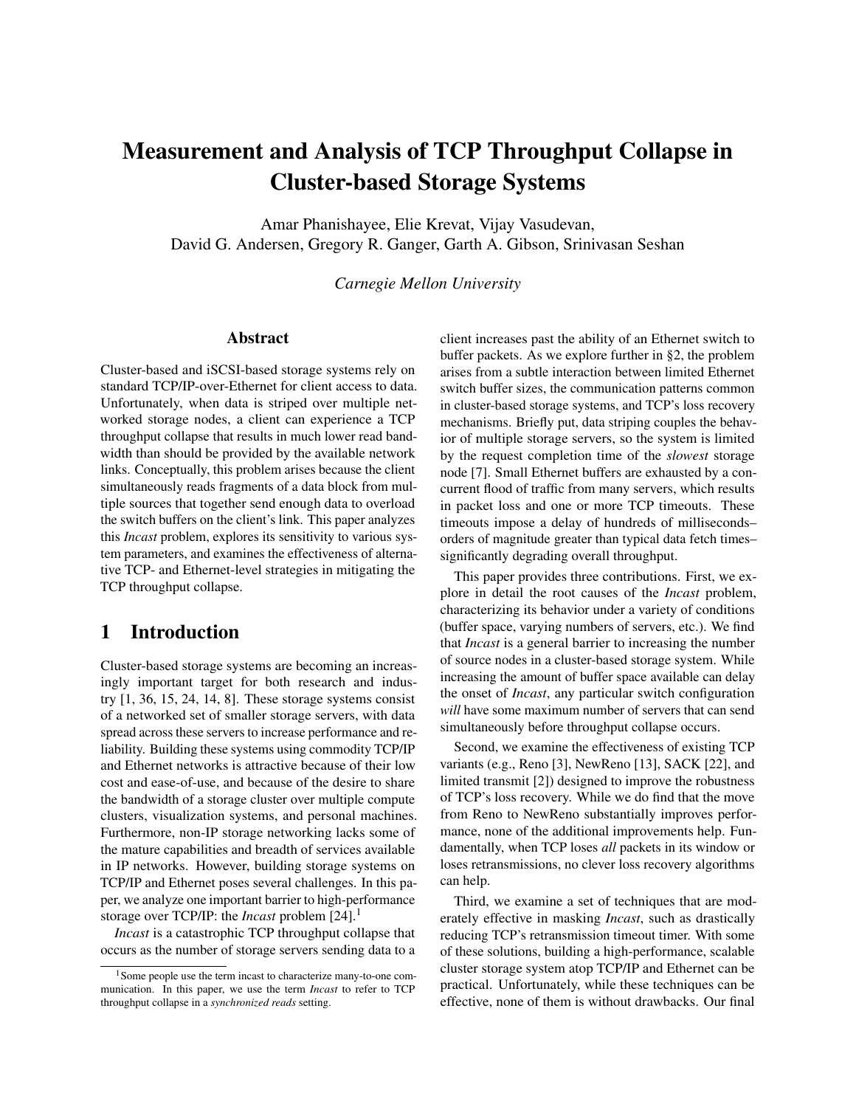# Measurement and Analysis of TCP Throughput Collapse in Cluster-based Storage Systems

Amar Phanishayee, Elie Krevat, Vijay Vasudevan, David G. Andersen, Gregory R. Ganger, Garth A. Gibson, Srinivasan Seshan

*Carnegie Mellon University*

#### Abstract

Cluster-based and iSCSI-based storage systems rely on standard TCP/IP-over-Ethernet for client access to data. Unfortunately, when data is striped over multiple networked storage nodes, a client can experience a TCP throughput collapse that results in much lower read bandwidth than should be provided by the available network links. Conceptually, this problem arises because the client simultaneously reads fragments of a data block from multiple sources that together send enough data to overload the switch buffers on the client's link. This paper analyzes this *Incast* problem, explores its sensitivity to various system parameters, and examines the effectiveness of alternative TCP- and Ethernet-level strategies in mitigating the TCP throughput collapse.

# 1 Introduction

Cluster-based storage systems are becoming an increasingly important target for both research and industry [\[1,](#page-11-0) [36,](#page-12-0) [15,](#page-11-1) [24,](#page-11-2) [14,](#page-11-3) [8\]](#page-11-4). These storage systems consist of a networked set of smaller storage servers, with data spread across these servers to increase performance and reliability. Building these systems using commodity TCP/IP and Ethernet networks is attractive because of their low cost and ease-of-use, and because of the desire to share the bandwidth of a storage cluster over multiple compute clusters, visualization systems, and personal machines. Furthermore, non-IP storage networking lacks some of the mature capabilities and breadth of services available in IP networks. However, building storage systems on TCP/IP and Ethernet poses several challenges. In this paper, we analyze one important barrier to high-performance storage over TCP/IP: the *Incast* problem [\[24\]](#page-11-2).[1](#page-0-0)

*Incast* is a catastrophic TCP throughput collapse that occurs as the number of storage servers sending data to a client increases past the ability of an Ethernet switch to buffer packets. As we explore further in [§2,](#page-1-0) the problem arises from a subtle interaction between limited Ethernet switch buffer sizes, the communication patterns common in cluster-based storage systems, and TCP's loss recovery mechanisms. Briefly put, data striping couples the behavior of multiple storage servers, so the system is limited by the request completion time of the *slowest* storage node [\[7\]](#page-11-5). Small Ethernet buffers are exhausted by a concurrent flood of traffic from many servers, which results in packet loss and one or more TCP timeouts. These timeouts impose a delay of hundreds of milliseconds– orders of magnitude greater than typical data fetch times– significantly degrading overall throughput.

This paper provides three contributions. First, we explore in detail the root causes of the *Incast* problem, characterizing its behavior under a variety of conditions (buffer space, varying numbers of servers, etc.). We find that *Incast* is a general barrier to increasing the number of source nodes in a cluster-based storage system. While increasing the amount of buffer space available can delay the onset of *Incast*, any particular switch configuration *will* have some maximum number of servers that can send simultaneously before throughput collapse occurs.

Second, we examine the effectiveness of existing TCP variants (e.g., Reno [\[3\]](#page-11-6), NewReno [\[13\]](#page-11-7), SACK [\[22\]](#page-11-8), and limited transmit [\[2\]](#page-11-9)) designed to improve the robustness of TCP's loss recovery. While we do find that the move from Reno to NewReno substantially improves performance, none of the additional improvements help. Fundamentally, when TCP loses *all* packets in its window or loses retransmissions, no clever loss recovery algorithms can help.

Third, we examine a set of techniques that are moderately effective in masking *Incast*, such as drastically reducing TCP's retransmission timeout timer. With some of these solutions, building a high-performance, scalable cluster storage system atop TCP/IP and Ethernet can be practical. Unfortunately, while these techniques can be effective, none of them is without drawbacks. Our final

<span id="page-0-0"></span><sup>1</sup>Some people use the term incast to characterize many-to-one communication. In this paper, we use the term *Incast* to refer to TCP throughput collapse in a *synchronized reads* setting.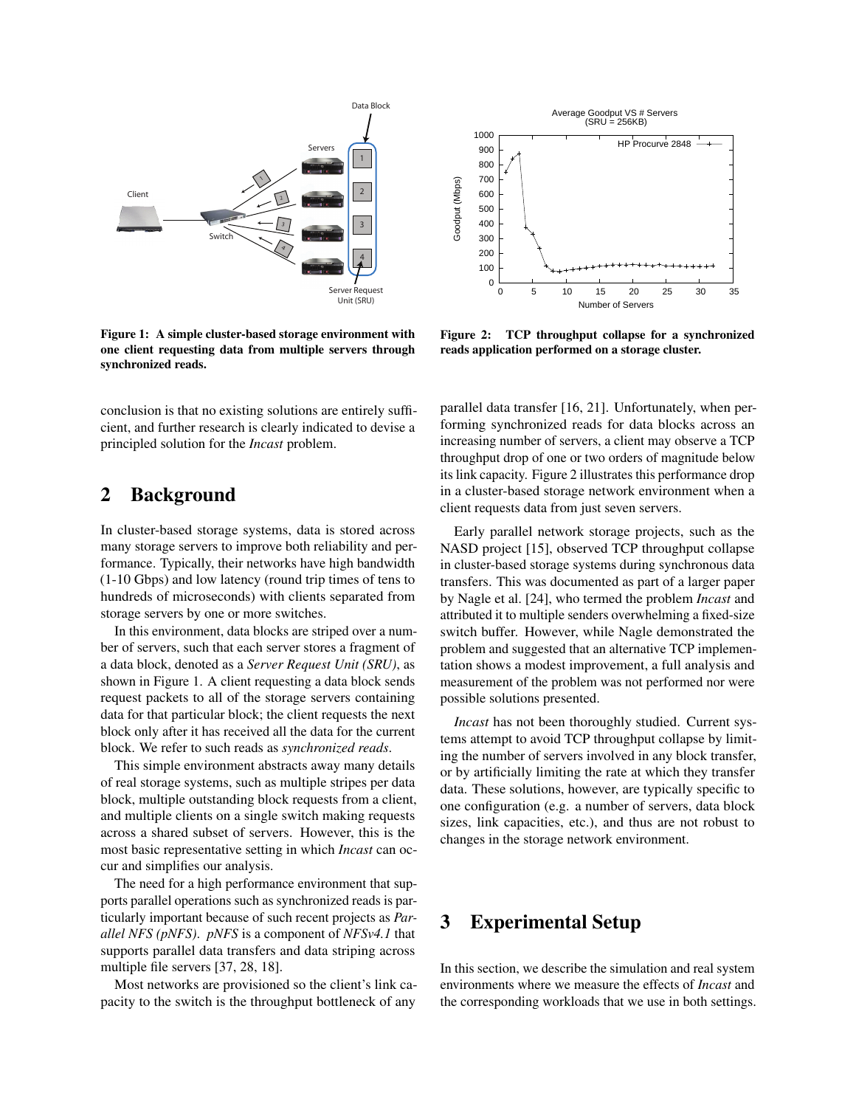

<span id="page-1-1"></span>Figure 1: A simple cluster-based storage environment with one client requesting data from multiple servers through synchronized reads.

conclusion is that no existing solutions are entirely sufficient, and further research is clearly indicated to devise a principled solution for the *Incast* problem.

# <span id="page-1-0"></span>2 Background

In cluster-based storage systems, data is stored across many storage servers to improve both reliability and performance. Typically, their networks have high bandwidth (1-10 Gbps) and low latency (round trip times of tens to hundreds of microseconds) with clients separated from storage servers by one or more switches.

In this environment, data blocks are striped over a number of servers, such that each server stores a fragment of a data block, denoted as a *Server Request Unit (SRU)*, as shown in Figure [1.](#page-1-1) A client requesting a data block sends request packets to all of the storage servers containing data for that particular block; the client requests the next block only after it has received all the data for the current block. We refer to such reads as *synchronized reads*.

This simple environment abstracts away many details of real storage systems, such as multiple stripes per data block, multiple outstanding block requests from a client, and multiple clients on a single switch making requests across a shared subset of servers. However, this is the most basic representative setting in which *Incast* can occur and simplifies our analysis.

The need for a high performance environment that supports parallel operations such as synchronized reads is particularly important because of such recent projects as *Parallel NFS (pNFS)*. *pNFS* is a component of *NFSv4.1* that supports parallel data transfers and data striping across multiple file servers [\[37,](#page-12-1) [28,](#page-12-2) [18\]](#page-11-10).

Most networks are provisioned so the client's link capacity to the switch is the throughput bottleneck of any



<span id="page-1-2"></span>Figure 2: TCP throughput collapse for a synchronized reads application performed on a storage cluster.

parallel data transfer [\[16,](#page-11-11) [21\]](#page-11-12). Unfortunately, when performing synchronized reads for data blocks across an increasing number of servers, a client may observe a TCP throughput drop of one or two orders of magnitude below its link capacity. Figure [2](#page-1-2) illustrates this performance drop in a cluster-based storage network environment when a client requests data from just seven servers.

Early parallel network storage projects, such as the NASD project [\[15\]](#page-11-1), observed TCP throughput collapse in cluster-based storage systems during synchronous data transfers. This was documented as part of a larger paper by Nagle et al. [\[24\]](#page-11-2), who termed the problem *Incast* and attributed it to multiple senders overwhelming a fixed-size switch buffer. However, while Nagle demonstrated the problem and suggested that an alternative TCP implementation shows a modest improvement, a full analysis and measurement of the problem was not performed nor were possible solutions presented.

*Incast* has not been thoroughly studied. Current systems attempt to avoid TCP throughput collapse by limiting the number of servers involved in any block transfer, or by artificially limiting the rate at which they transfer data. These solutions, however, are typically specific to one configuration (e.g. a number of servers, data block sizes, link capacities, etc.), and thus are not robust to changes in the storage network environment.

# 3 Experimental Setup

In this section, we describe the simulation and real system environments where we measure the effects of *Incast* and the corresponding workloads that we use in both settings.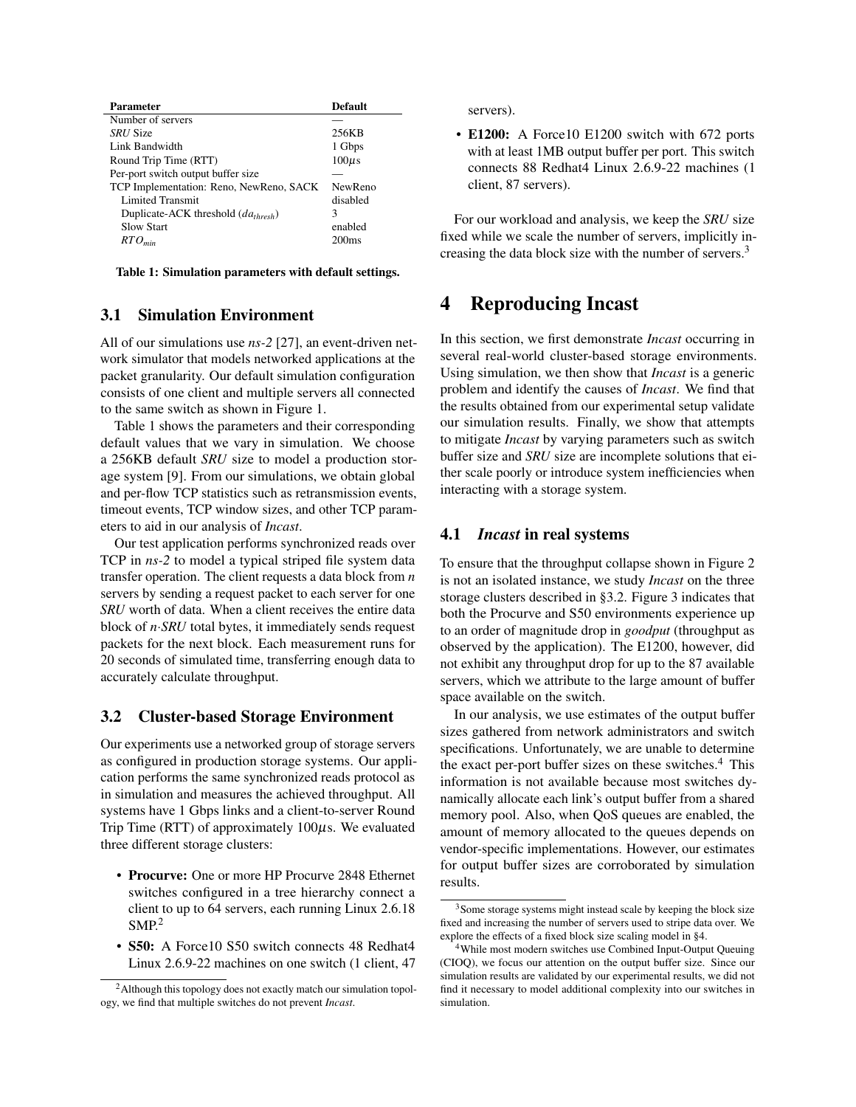| <b>Parameter</b>                        | <b>Default</b>    |
|-----------------------------------------|-------------------|
| Number of servers                       |                   |
| <i>SRU</i> Size                         | 256KB             |
| Link Bandwidth                          | 1 Gbps            |
| Round Trip Time (RTT)                   | $100\mu s$        |
| Per-port switch output buffer size      |                   |
| TCP Implementation: Reno, NewReno, SACK | NewReno           |
| <b>Limited Transmit</b>                 | disabled          |
| Duplicate-ACK threshold $(dathresh)$    | 3                 |
| <b>Slow Start</b>                       | enabled           |
| $RTO_{min}$                             | 200 <sub>ms</sub> |

<span id="page-2-0"></span>Table 1: Simulation parameters with default settings.

#### 3.1 Simulation Environment

All of our simulations use *ns-2* [\[27\]](#page-12-3), an event-driven network simulator that models networked applications at the packet granularity. Our default simulation configuration consists of one client and multiple servers all connected to the same switch as shown in Figure [1.](#page-1-1)

Table [1](#page-2-0) shows the parameters and their corresponding default values that we vary in simulation. We choose a 256KB default *SRU* size to model a production storage system [\[9\]](#page-11-13). From our simulations, we obtain global and per-flow TCP statistics such as retransmission events, timeout events, TCP window sizes, and other TCP parameters to aid in our analysis of *Incast*.

Our test application performs synchronized reads over TCP in *ns-2* to model a typical striped file system data transfer operation. The client requests a data block from *n* servers by sending a request packet to each server for one *SRU* worth of data. When a client receives the entire data block of *n*·*SRU* total bytes, it immediately sends request packets for the next block. Each measurement runs for 20 seconds of simulated time, transferring enough data to accurately calculate throughput.

#### <span id="page-2-3"></span>3.2 Cluster-based Storage Environment

Our experiments use a networked group of storage servers as configured in production storage systems. Our application performs the same synchronized reads protocol as in simulation and measures the achieved throughput. All systems have 1 Gbps links and a client-to-server Round Trip Time (RTT) of approximately  $100\mu$ s. We evaluated three different storage clusters:

- Procurve: One or more HP Procurve 2848 Ethernet switches configured in a tree hierarchy connect a client to up to 64 servers, each running Linux 2.6.18  $SMP<sup>2</sup>$  $SMP<sup>2</sup>$  $SMP<sup>2</sup>$
- S50: A Force10 S50 switch connects 48 Redhat4 Linux 2.6.9-22 machines on one switch (1 client, 47

servers).

• E1200: A Force10 E1200 switch with 672 ports with at least 1MB output buffer per port. This switch connects 88 Redhat4 Linux 2.6.9-22 machines (1 client, 87 servers).

For our workload and analysis, we keep the *SRU* size fixed while we scale the number of servers, implicitly in-creasing the data block size with the number of servers.<sup>[3](#page-2-2)</sup>

### <span id="page-2-5"></span>4 Reproducing Incast

In this section, we first demonstrate *Incast* occurring in several real-world cluster-based storage environments. Using simulation, we then show that *Incast* is a generic problem and identify the causes of *Incast*. We find that the results obtained from our experimental setup validate our simulation results. Finally, we show that attempts to mitigate *Incast* by varying parameters such as switch buffer size and *SRU* size are incomplete solutions that either scale poorly or introduce system inefficiencies when interacting with a storage system.

#### <span id="page-2-6"></span>4.1 *Incast* in real systems

To ensure that the throughput collapse shown in Figure [2](#page-1-2) is not an isolated instance, we study *Incast* on the three storage clusters described in [§3.2.](#page-2-3) Figure [3](#page-3-0) indicates that both the Procurve and S50 environments experience up to an order of magnitude drop in *goodput* (throughput as observed by the application). The E1200, however, did not exhibit any throughput drop for up to the 87 available servers, which we attribute to the large amount of buffer space available on the switch.

In our analysis, we use estimates of the output buffer sizes gathered from network administrators and switch specifications. Unfortunately, we are unable to determine the exact per-port buffer sizes on these switches.<sup>[4](#page-2-4)</sup> This information is not available because most switches dynamically allocate each link's output buffer from a shared memory pool. Also, when QoS queues are enabled, the amount of memory allocated to the queues depends on vendor-specific implementations. However, our estimates for output buffer sizes are corroborated by simulation results.

<span id="page-2-1"></span><sup>&</sup>lt;sup>2</sup>Although this topology does not exactly match our simulation topology, we find that multiple switches do not prevent *Incast*.

<span id="page-2-2"></span><sup>&</sup>lt;sup>3</sup>Some storage systems might instead scale by keeping the block size fixed and increasing the number of servers used to stripe data over. We explore the effects of a fixed block size scaling model in [§4.](#page-2-5)

<span id="page-2-4"></span><sup>4</sup>While most modern switches use Combined Input-Output Queuing (CIOQ), we focus our attention on the output buffer size. Since our simulation results are validated by our experimental results, we did not find it necessary to model additional complexity into our switches in simulation.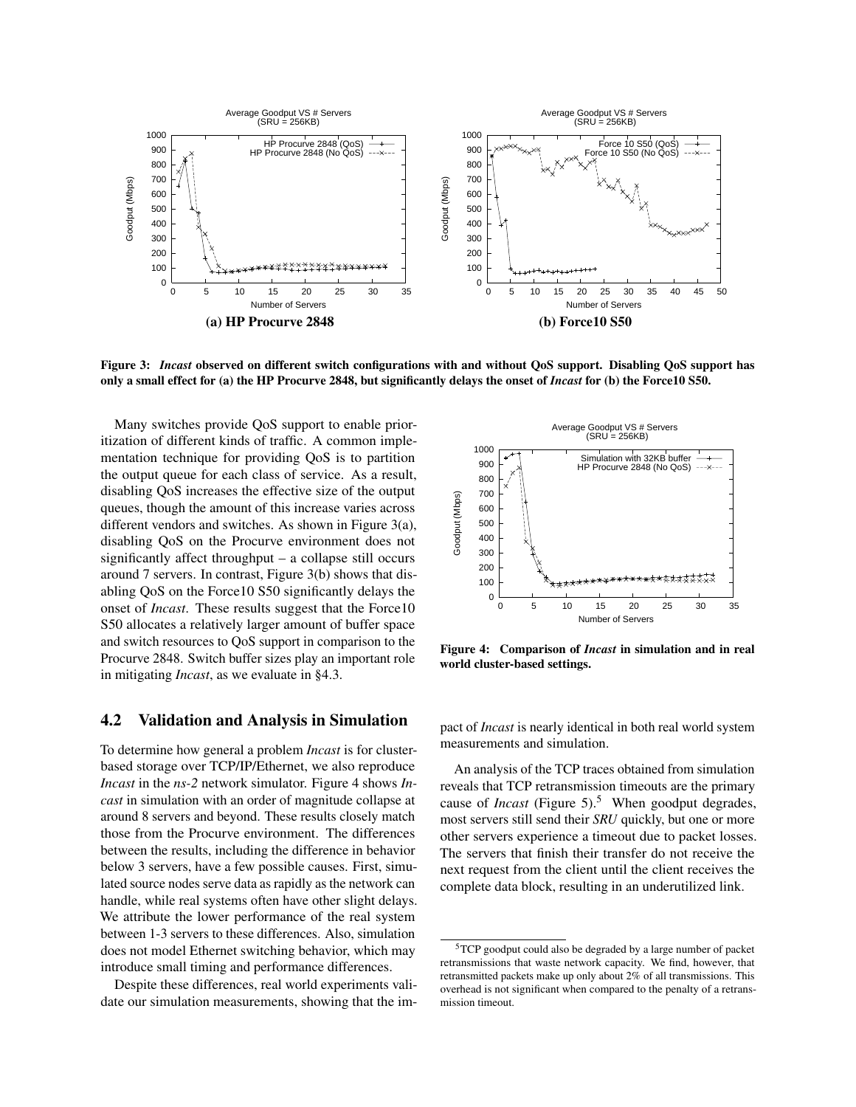

<span id="page-3-0"></span>Figure 3: *Incast* observed on different switch configurations with and without QoS support. Disabling QoS support has only a small effect for (a) the HP Procurve 2848, but significantly delays the onset of *Incast* for (b) the Force10 S50.

Many switches provide QoS support to enable prioritization of different kinds of traffic. A common implementation technique for providing QoS is to partition the output queue for each class of service. As a result, disabling QoS increases the effective size of the output queues, though the amount of this increase varies across different vendors and switches. As shown in Figure [3\(](#page-3-0)a), disabling QoS on the Procurve environment does not significantly affect throughput – a collapse still occurs around 7 servers. In contrast, Figure [3\(](#page-3-0)b) shows that disabling QoS on the Force10 S50 significantly delays the onset of *Incast*. These results suggest that the Force10 S50 allocates a relatively larger amount of buffer space and switch resources to QoS support in comparison to the Procurve 2848. Switch buffer sizes play an important role in mitigating *Incast*, as we evaluate in [§4.3.](#page-4-0)

#### 4.2 Validation and Analysis in Simulation

To determine how general a problem *Incast* is for clusterbased storage over TCP/IP/Ethernet, we also reproduce *Incast* in the *ns-2* network simulator. Figure [4](#page-3-1) shows *Incast* in simulation with an order of magnitude collapse at around 8 servers and beyond. These results closely match those from the Procurve environment. The differences between the results, including the difference in behavior below 3 servers, have a few possible causes. First, simulated source nodes serve data as rapidly as the network can handle, while real systems often have other slight delays. We attribute the lower performance of the real system between 1-3 servers to these differences. Also, simulation does not model Ethernet switching behavior, which may introduce small timing and performance differences.

Despite these differences, real world experiments validate our simulation measurements, showing that the im-



<span id="page-3-1"></span>Figure 4: Comparison of *Incast* in simulation and in real world cluster-based settings.

pact of *Incast* is nearly identical in both real world system measurements and simulation.

An analysis of the TCP traces obtained from simulation reveals that TCP retransmission timeouts are the primary cause of *Incast* (Figure [5\)](#page-4-1).<sup>[5](#page-3-2)</sup> When goodput degrades, most servers still send their *SRU* quickly, but one or more other servers experience a timeout due to packet losses. The servers that finish their transfer do not receive the next request from the client until the client receives the complete data block, resulting in an underutilized link.

<span id="page-3-2"></span><sup>5</sup>TCP goodput could also be degraded by a large number of packet retransmissions that waste network capacity. We find, however, that retransmitted packets make up only about 2% of all transmissions. This overhead is not significant when compared to the penalty of a retransmission timeout.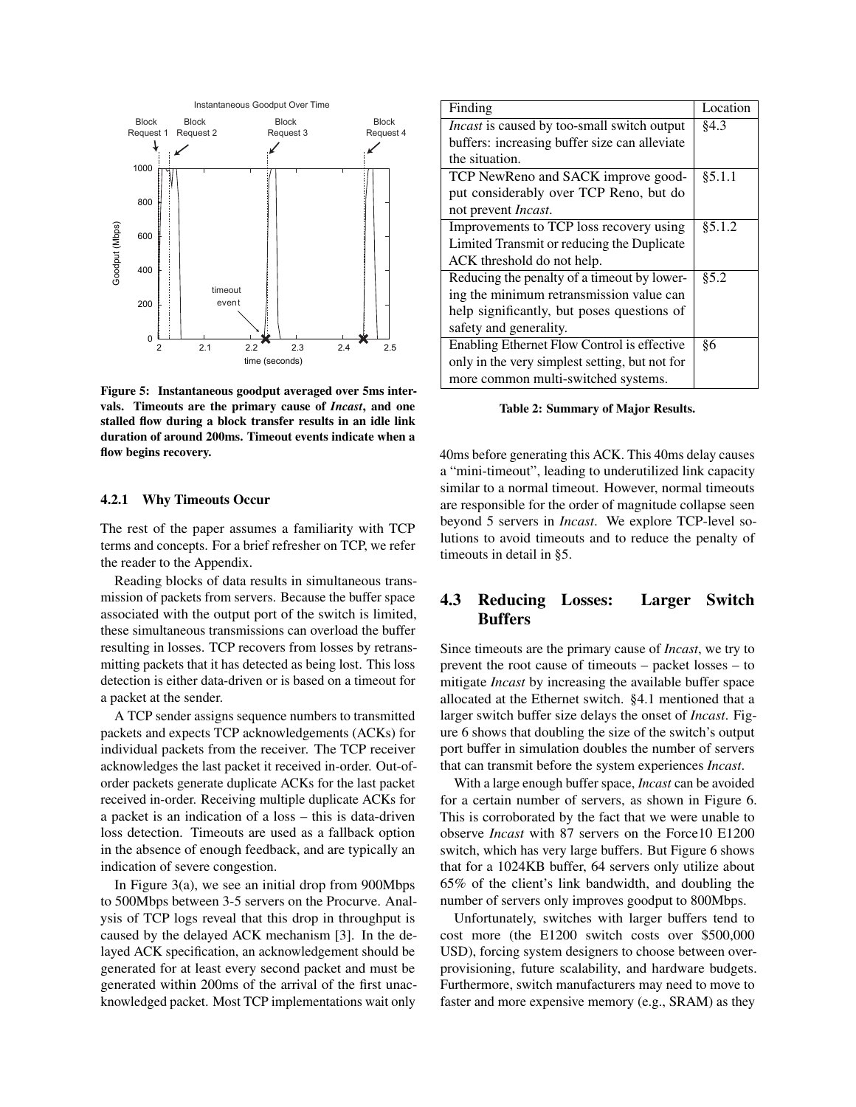

<span id="page-4-1"></span>Figure 5: Instantaneous goodput averaged over 5ms intervals. Timeouts are the primary cause of *Incast*, and one stalled flow during a block transfer results in an idle link duration of around 200ms. Timeout events indicate when a flow begins recovery.

#### 4.2.1 Why Timeouts Occur

The rest of the paper assumes a familiarity with TCP terms and concepts. For a brief refresher on TCP, we refer the reader to the Appendix.

Reading blocks of data results in simultaneous transmission of packets from servers. Because the buffer space associated with the output port of the switch is limited, these simultaneous transmissions can overload the buffer resulting in losses. TCP recovers from losses by retransmitting packets that it has detected as being lost. This loss detection is either data-driven or is based on a timeout for a packet at the sender.

A TCP sender assigns sequence numbers to transmitted packets and expects TCP acknowledgements (ACKs) for individual packets from the receiver. The TCP receiver acknowledges the last packet it received in-order. Out-oforder packets generate duplicate ACKs for the last packet received in-order. Receiving multiple duplicate ACKs for a packet is an indication of a loss – this is data-driven loss detection. Timeouts are used as a fallback option in the absence of enough feedback, and are typically an indication of severe congestion.

In Figure [3\(](#page-3-0)a), we see an initial drop from 900Mbps to 500Mbps between 3-5 servers on the Procurve. Analysis of TCP logs reveal that this drop in throughput is caused by the delayed ACK mechanism [\[3\]](#page-11-6). In the delayed ACK specification, an acknowledgement should be generated for at least every second packet and must be generated within 200ms of the arrival of the first unacknowledged packet. Most TCP implementations wait only

| Finding                                        | Location |
|------------------------------------------------|----------|
| Incast is caused by too-small switch output    | §4.3     |
| buffers: increasing buffer size can alleviate  |          |
| the situation.                                 |          |
| TCP NewReno and SACK improve good-             | § 5.1.1  |
| put considerably over TCP Reno, but do         |          |
| not prevent Incast.                            |          |
| Improvements to TCP loss recovery using        | §5.1.2   |
| Limited Transmit or reducing the Duplicate     |          |
| ACK threshold do not help.                     |          |
| Reducing the penalty of a timeout by lower-    | 85.2     |
| ing the minimum retransmission value can       |          |
| help significantly, but poses questions of     |          |
| safety and generality.                         |          |
| Enabling Ethernet Flow Control is effective    | §6       |
| only in the very simplest setting, but not for |          |
| more common multi-switched systems.            |          |

#### Table 2: Summary of Major Results.

40ms before generating this ACK. This 40ms delay causes a "mini-timeout", leading to underutilized link capacity similar to a normal timeout. However, normal timeouts are responsible for the order of magnitude collapse seen beyond 5 servers in *Incast*. We explore TCP-level solutions to avoid timeouts and to reduce the penalty of timeouts in detail in [§5.](#page-6-1)

### <span id="page-4-0"></span>4.3 Reducing Losses: Larger Switch Buffers

Since timeouts are the primary cause of *Incast*, we try to prevent the root cause of timeouts – packet losses – to mitigate *Incast* by increasing the available buffer space allocated at the Ethernet switch. [§4.1](#page-2-6) mentioned that a larger switch buffer size delays the onset of *Incast*. Figure [6](#page-5-0) shows that doubling the size of the switch's output port buffer in simulation doubles the number of servers that can transmit before the system experiences *Incast*.

With a large enough buffer space, *Incast* can be avoided for a certain number of servers, as shown in Figure [6.](#page-5-0) This is corroborated by the fact that we were unable to observe *Incast* with 87 servers on the Force10 E1200 switch, which has very large buffers. But Figure [6](#page-5-0) shows that for a 1024KB buffer, 64 servers only utilize about 65% of the client's link bandwidth, and doubling the number of servers only improves goodput to 800Mbps.

Unfortunately, switches with larger buffers tend to cost more (the E1200 switch costs over \$500,000 USD), forcing system designers to choose between overprovisioning, future scalability, and hardware budgets. Furthermore, switch manufacturers may need to move to faster and more expensive memory (e.g., SRAM) as they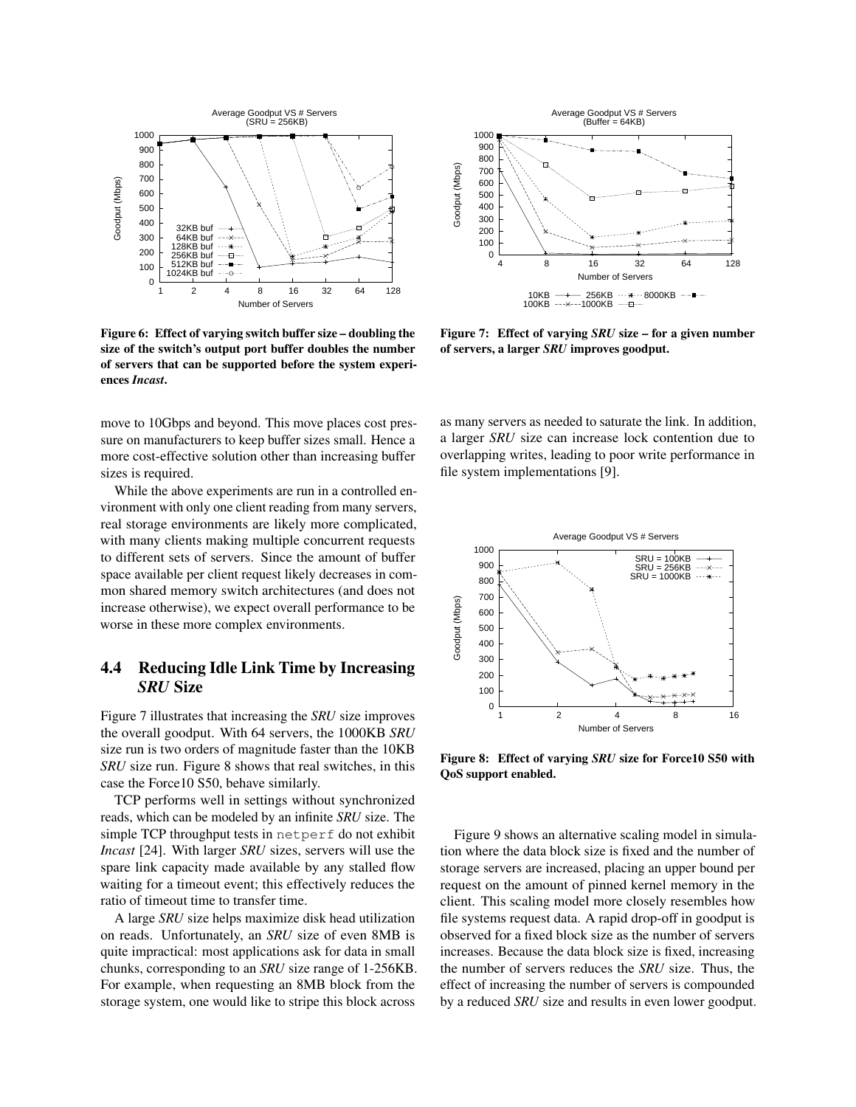

<span id="page-5-0"></span>Figure 6: Effect of varying switch buffer size – doubling the size of the switch's output port buffer doubles the number of servers that can be supported before the system experiences *Incast*.

move to 10Gbps and beyond. This move places cost pressure on manufacturers to keep buffer sizes small. Hence a more cost-effective solution other than increasing buffer sizes is required.

While the above experiments are run in a controlled environment with only one client reading from many servers, real storage environments are likely more complicated, with many clients making multiple concurrent requests to different sets of servers. Since the amount of buffer space available per client request likely decreases in common shared memory switch architectures (and does not increase otherwise), we expect overall performance to be worse in these more complex environments.

### 4.4 Reducing Idle Link Time by Increasing *SRU* Size

Figure [7](#page-5-1) illustrates that increasing the *SRU* size improves the overall goodput. With 64 servers, the 1000KB *SRU* size run is two orders of magnitude faster than the 10KB *SRU* size run. Figure [8](#page-5-2) shows that real switches, in this case the Force10 S50, behave similarly.

TCP performs well in settings without synchronized reads, which can be modeled by an infinite *SRU* size. The simple TCP throughput tests in netperf do not exhibit *Incast* [\[24\]](#page-11-2). With larger *SRU* sizes, servers will use the spare link capacity made available by any stalled flow waiting for a timeout event; this effectively reduces the ratio of timeout time to transfer time.

A large *SRU* size helps maximize disk head utilization on reads. Unfortunately, an *SRU* size of even 8MB is quite impractical: most applications ask for data in small chunks, corresponding to an *SRU* size range of 1-256KB. For example, when requesting an 8MB block from the storage system, one would like to stripe this block across



<span id="page-5-1"></span>Figure 7: Effect of varying *SRU* size – for a given number of servers, a larger *SRU* improves goodput.

as many servers as needed to saturate the link. In addition, a larger *SRU* size can increase lock contention due to overlapping writes, leading to poor write performance in file system implementations [\[9\]](#page-11-13).



<span id="page-5-2"></span>Figure 8: Effect of varying *SRU* size for Force10 S50 with QoS support enabled.

Figure [9](#page-6-2) shows an alternative scaling model in simulation where the data block size is fixed and the number of storage servers are increased, placing an upper bound per request on the amount of pinned kernel memory in the client. This scaling model more closely resembles how file systems request data. A rapid drop-off in goodput is observed for a fixed block size as the number of servers increases. Because the data block size is fixed, increasing the number of servers reduces the *SRU* size. Thus, the effect of increasing the number of servers is compounded by a reduced *SRU* size and results in even lower goodput.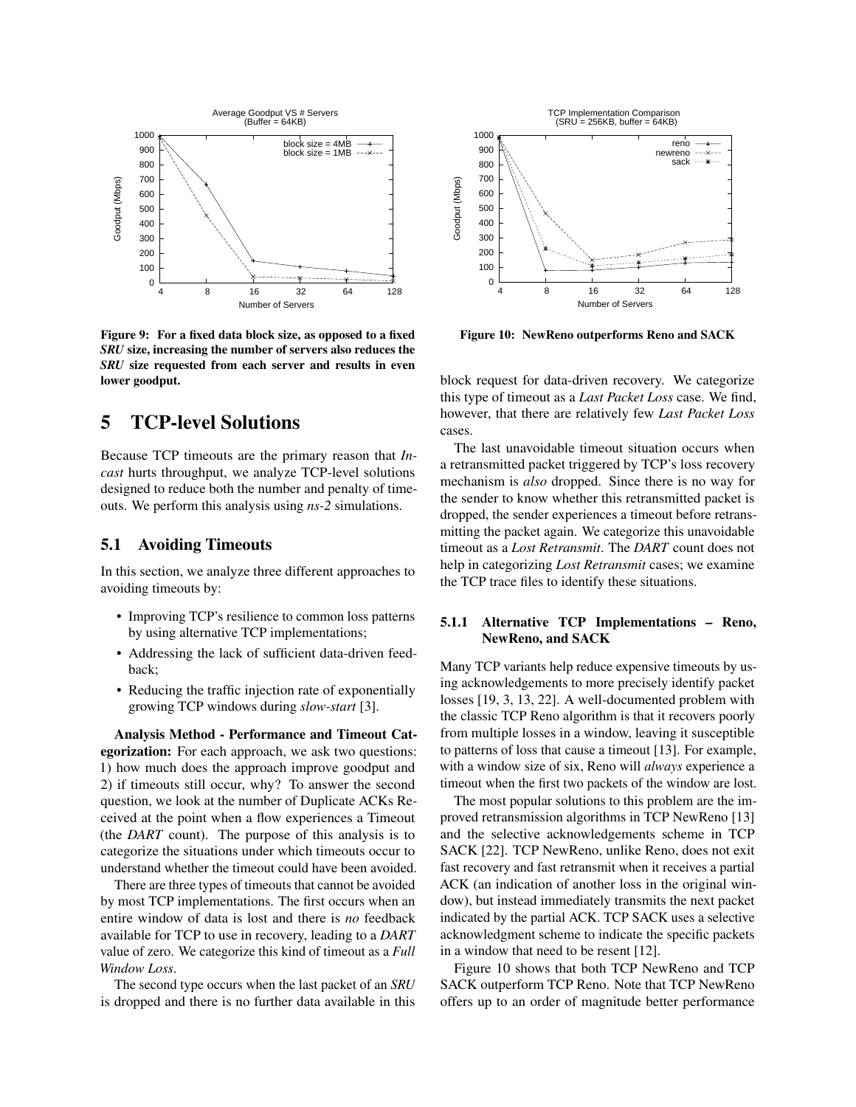

<span id="page-6-2"></span>Figure 9: For a fixed data block size, as opposed to a fixed *SRU* size, increasing the number of servers also reduces the *SRU* size requested from each server and results in even lower goodput.

# <span id="page-6-1"></span>5 TCP-level Solutions

Because TCP timeouts are the primary reason that *Incast* hurts throughput, we analyze TCP-level solutions designed to reduce both the number and penalty of timeouts. We perform this analysis using *ns-2* simulations.

#### 5.1 Avoiding Timeouts

In this section, we analyze three different approaches to avoiding timeouts by:

- Improving TCP's resilience to common loss patterns by using alternative TCP implementations;
- Addressing the lack of sufficient data-driven feedback;
- Reducing the traffic injection rate of exponentially growing TCP windows during *slow-start* [\[3\]](#page-11-6).

Analysis Method - Performance and Timeout Categorization: For each approach, we ask two questions: 1) how much does the approach improve goodput and 2) if timeouts still occur, why? To answer the second question, we look at the number of Duplicate ACKs Received at the point when a flow experiences a Timeout (the *DART* count). The purpose of this analysis is to categorize the situations under which timeouts occur to understand whether the timeout could have been avoided.

There are three types of timeouts that cannot be avoided by most TCP implementations. The first occurs when an entire window of data is lost and there is *no* feedback available for TCP to use in recovery, leading to a *DART* value of zero. We categorize this kind of timeout as a *Full Window Loss*.

The second type occurs when the last packet of an *SRU* is dropped and there is no further data available in this



<span id="page-6-3"></span>Figure 10: NewReno outperforms Reno and SACK

block request for data-driven recovery. We categorize this type of timeout as a *Last Packet Loss* case. We find, however, that there are relatively few *Last Packet Loss* cases.

The last unavoidable timeout situation occurs when a retransmitted packet triggered by TCP's loss recovery mechanism is *also* dropped. Since there is no way for the sender to know whether this retransmitted packet is dropped, the sender experiences a timeout before retransmitting the packet again. We categorize this unavoidable timeout as a *Lost Retransmit*. The *DART* count does not help in categorizing *Lost Retransmit* cases; we examine the TCP trace files to identify these situations.

#### <span id="page-6-0"></span>5.1.1 Alternative TCP Implementations – Reno, NewReno, and SACK

Many TCP variants help reduce expensive timeouts by using acknowledgements to more precisely identify packet losses [\[19,](#page-11-14) [3,](#page-11-6) [13,](#page-11-7) [22\]](#page-11-8). A well-documented problem with the classic TCP Reno algorithm is that it recovers poorly from multiple losses in a window, leaving it susceptible to patterns of loss that cause a timeout [\[13\]](#page-11-7). For example, with a window size of six, Reno will *always* experience a timeout when the first two packets of the window are lost.

The most popular solutions to this problem are the improved retransmission algorithms in TCP NewReno [\[13\]](#page-11-7) and the selective acknowledgements scheme in TCP SACK [\[22\]](#page-11-8). TCP NewReno, unlike Reno, does not exit fast recovery and fast retransmit when it receives a partial ACK (an indication of another loss in the original window), but instead immediately transmits the next packet indicated by the partial ACK. TCP SACK uses a selective acknowledgment scheme to indicate the specific packets in a window that need to be resent [\[12\]](#page-11-15).

Figure [10](#page-6-3) shows that both TCP NewReno and TCP SACK outperform TCP Reno. Note that TCP NewReno offers up to an order of magnitude better performance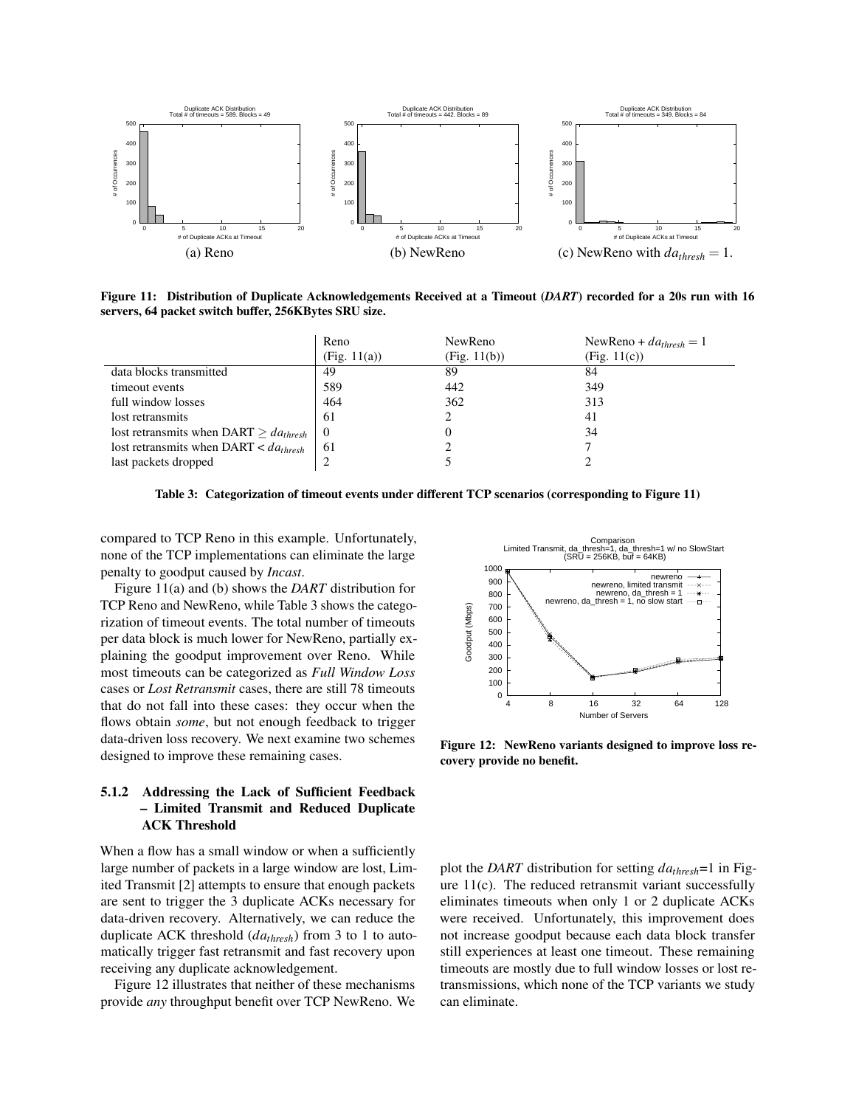

<span id="page-7-1"></span>Figure 11: Distribution of Duplicate Acknowledgements Received at a Timeout (*DART*) recorded for a 20s run with 16 servers, 64 packet switch buffer, 256KBytes SRU size.

|                                               | Reno         | NewReno      | NewReno + $da_{thresh} = 1$ |
|-----------------------------------------------|--------------|--------------|-----------------------------|
|                                               | (Fig. 11(a)) | (Fig. 11(b)) | (Fig. 11(c))                |
| data blocks transmitted                       | 49           | 89           | 84                          |
| timeout events                                | 589          | 442          | 349                         |
| full window losses                            | 464          | 362          | 313                         |
| lost retransmits                              | -61          |              | 41                          |
| lost retransmits when DART $\geq da_{thresh}$ | $\theta$     |              | 34                          |
| lost retransmits when DART $\lt da_{thresh}$  | -61          |              |                             |
| last packets dropped                          |              |              |                             |

<span id="page-7-2"></span>Table 3: Categorization of timeout events under different TCP scenarios (corresponding to Figure [11\)](#page-7-1)

compared to TCP Reno in this example. Unfortunately, none of the TCP implementations can eliminate the large penalty to goodput caused by *Incast*.

Figure [11\(](#page-7-1)a) and (b) shows the *DART* distribution for TCP Reno and NewReno, while Table [3](#page-7-2) shows the categorization of timeout events. The total number of timeouts per data block is much lower for NewReno, partially explaining the goodput improvement over Reno. While most timeouts can be categorized as *Full Window Loss* cases or *Lost Retransmit* cases, there are still 78 timeouts that do not fall into these cases: they occur when the flows obtain *some*, but not enough feedback to trigger data-driven loss recovery. We next examine two schemes designed to improve these remaining cases.

#### <span id="page-7-0"></span>5.1.2 Addressing the Lack of Sufficient Feedback – Limited Transmit and Reduced Duplicate ACK Threshold

When a flow has a small window or when a sufficiently large number of packets in a large window are lost, Limited Transmit [\[2\]](#page-11-9) attempts to ensure that enough packets are sent to trigger the 3 duplicate ACKs necessary for data-driven recovery. Alternatively, we can reduce the duplicate ACK threshold (*dathresh*) from 3 to 1 to automatically trigger fast retransmit and fast recovery upon receiving any duplicate acknowledgement.

Figure [12](#page-7-3) illustrates that neither of these mechanisms provide *any* throughput benefit over TCP NewReno. We



<span id="page-7-3"></span>Figure 12: NewReno variants designed to improve loss recovery provide no benefit.

plot the *DART* distribution for setting *dathresh*=1 in Figure  $11(c)$ . The reduced retransmit variant successfully eliminates timeouts when only 1 or 2 duplicate ACKs were received. Unfortunately, this improvement does not increase goodput because each data block transfer still experiences at least one timeout. These remaining timeouts are mostly due to full window losses or lost retransmissions, which none of the TCP variants we study can eliminate.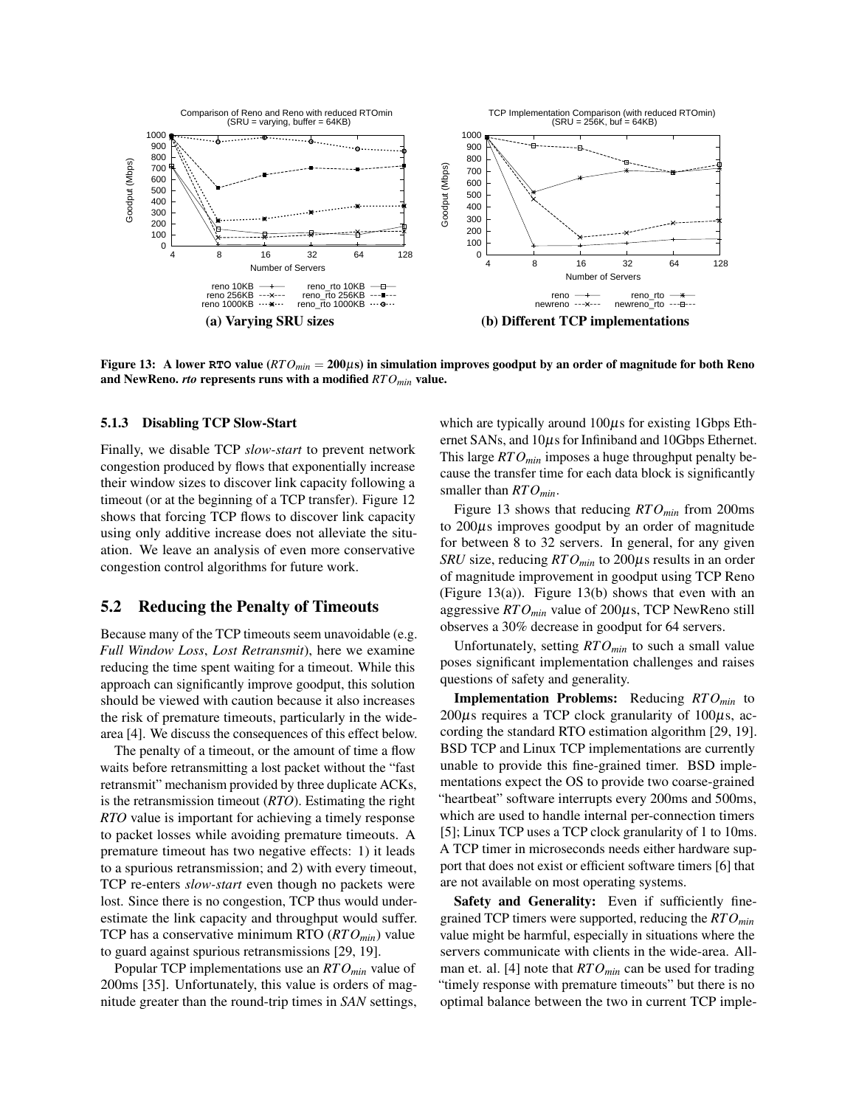

<span id="page-8-1"></span>Figure 13: A lower RTO value  $(RTO<sub>min</sub> = 200\mu s)$  in simulation improves goodput by an order of magnitude for both Reno and NewReno. *rto* represents runs with a modified *RTOmin* value.

#### 5.1.3 Disabling TCP Slow-Start

Finally, we disable TCP *slow-start* to prevent network congestion produced by flows that exponentially increase their window sizes to discover link capacity following a timeout (or at the beginning of a TCP transfer). Figure [12](#page-7-3) shows that forcing TCP flows to discover link capacity using only additive increase does not alleviate the situation. We leave an analysis of even more conservative congestion control algorithms for future work.

#### <span id="page-8-0"></span>5.2 Reducing the Penalty of Timeouts

Because many of the TCP timeouts seem unavoidable (e.g. *Full Window Loss*, *Lost Retransmit*), here we examine reducing the time spent waiting for a timeout. While this approach can significantly improve goodput, this solution should be viewed with caution because it also increases the risk of premature timeouts, particularly in the widearea [\[4\]](#page-11-16). We discuss the consequences of this effect below.

The penalty of a timeout, or the amount of time a flow waits before retransmitting a lost packet without the "fast retransmit" mechanism provided by three duplicate ACKs, is the retransmission timeout (*RTO*). Estimating the right *RTO* value is important for achieving a timely response to packet losses while avoiding premature timeouts. A premature timeout has two negative effects: 1) it leads to a spurious retransmission; and 2) with every timeout, TCP re-enters *slow-start* even though no packets were lost. Since there is no congestion, TCP thus would underestimate the link capacity and throughput would suffer. TCP has a conservative minimum RTO (*RTOmin*) value to guard against spurious retransmissions [\[29,](#page-12-4) [19\]](#page-11-14).

Popular TCP implementations use an *RTOmin* value of 200ms [\[35\]](#page-12-5). Unfortunately, this value is orders of magnitude greater than the round-trip times in *SAN* settings, which are typically around  $100\mu s$  for existing 1Gbps Ethernet SANs, and  $10\mu s$  for Infiniband and 10Gbps Ethernet. This large *RTOmin* imposes a huge throughput penalty because the transfer time for each data block is significantly smaller than *RTOmin*.

Figure [13](#page-8-1) shows that reducing *RTOmin* from 200ms to  $200\mu s$  improves goodput by an order of magnitude for between 8 to 32 servers. In general, for any given *SRU* size, reducing *RTOmin* to 200µs results in an order of magnitude improvement in goodput using TCP Reno (Figure [13\(](#page-8-1)a)). Figure [13\(](#page-8-1)b) shows that even with an aggressive *RTOmin* value of 200µs, TCP NewReno still observes a 30% decrease in goodput for 64 servers.

Unfortunately, setting *RTOmin* to such a small value poses significant implementation challenges and raises questions of safety and generality.

Implementation Problems: Reducing *RTOmin* to  $200\mu$ s requires a TCP clock granularity of  $100\mu$ s, according the standard RTO estimation algorithm [\[29,](#page-12-4) [19\]](#page-11-14). BSD TCP and Linux TCP implementations are currently unable to provide this fine-grained timer. BSD implementations expect the OS to provide two coarse-grained "heartbeat" software interrupts every 200ms and 500ms, which are used to handle internal per-connection timers [\[5\]](#page-11-17); Linux TCP uses a TCP clock granularity of 1 to 10ms. A TCP timer in microseconds needs either hardware support that does not exist or efficient software timers [\[6\]](#page-11-18) that are not available on most operating systems.

Safety and Generality: Even if sufficiently finegrained TCP timers were supported, reducing the *RTOmin* value might be harmful, especially in situations where the servers communicate with clients in the wide-area. Allman et. al. [\[4\]](#page-11-16) note that *RTOmin* can be used for trading "timely response with premature timeouts" but there is no optimal balance between the two in current TCP imple-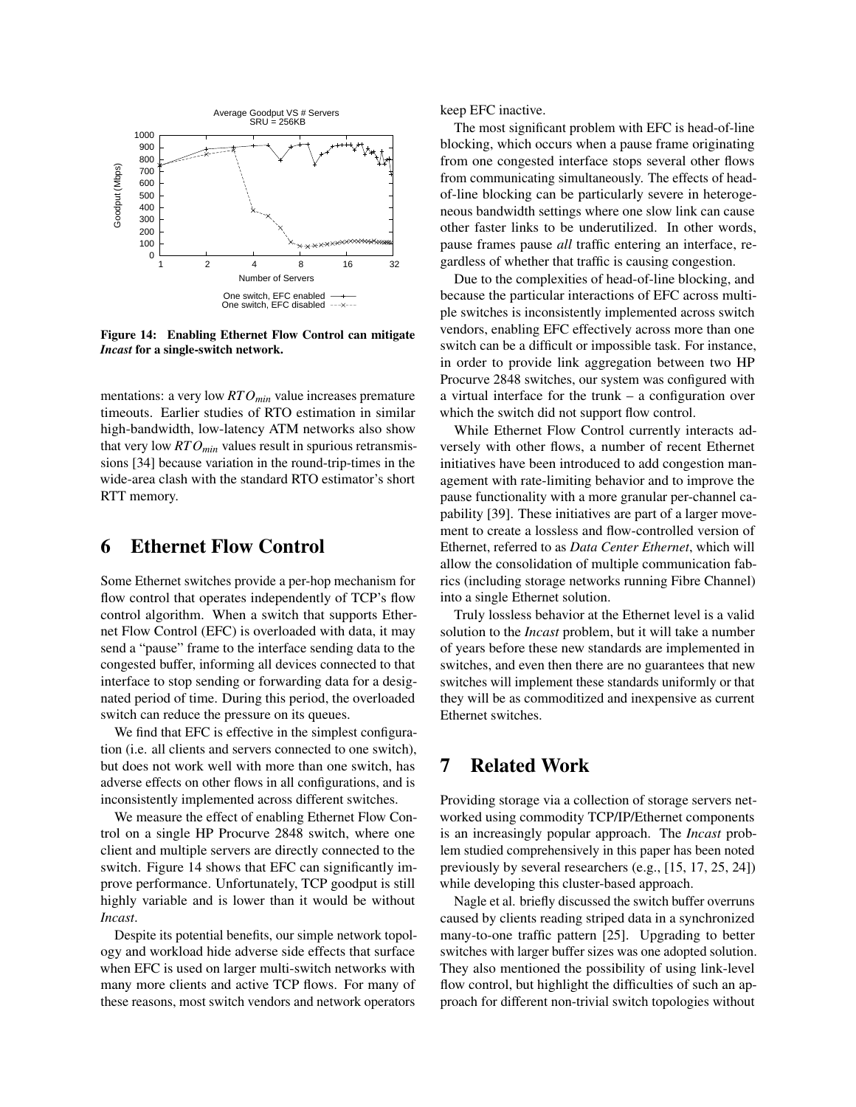

<span id="page-9-1"></span>Figure 14: Enabling Ethernet Flow Control can mitigate *Incast* for a single-switch network.

mentations: a very low *RTOmin* value increases premature timeouts. Earlier studies of RTO estimation in similar high-bandwidth, low-latency ATM networks also show that very low *RTOmin* values result in spurious retransmissions [\[34\]](#page-12-6) because variation in the round-trip-times in the wide-area clash with the standard RTO estimator's short RTT memory.

# <span id="page-9-0"></span>6 Ethernet Flow Control

Some Ethernet switches provide a per-hop mechanism for flow control that operates independently of TCP's flow control algorithm. When a switch that supports Ethernet Flow Control (EFC) is overloaded with data, it may send a "pause" frame to the interface sending data to the congested buffer, informing all devices connected to that interface to stop sending or forwarding data for a designated period of time. During this period, the overloaded switch can reduce the pressure on its queues.

We find that EFC is effective in the simplest configuration (i.e. all clients and servers connected to one switch), but does not work well with more than one switch, has adverse effects on other flows in all configurations, and is inconsistently implemented across different switches.

We measure the effect of enabling Ethernet Flow Control on a single HP Procurve 2848 switch, where one client and multiple servers are directly connected to the switch. Figure [14](#page-9-1) shows that EFC can significantly improve performance. Unfortunately, TCP goodput is still highly variable and is lower than it would be without *Incast*.

Despite its potential benefits, our simple network topology and workload hide adverse side effects that surface when EFC is used on larger multi-switch networks with many more clients and active TCP flows. For many of these reasons, most switch vendors and network operators

keep EFC inactive.

The most significant problem with EFC is head-of-line blocking, which occurs when a pause frame originating from one congested interface stops several other flows from communicating simultaneously. The effects of headof-line blocking can be particularly severe in heterogeneous bandwidth settings where one slow link can cause other faster links to be underutilized. In other words, pause frames pause *all* traffic entering an interface, regardless of whether that traffic is causing congestion.

Due to the complexities of head-of-line blocking, and because the particular interactions of EFC across multiple switches is inconsistently implemented across switch vendors, enabling EFC effectively across more than one switch can be a difficult or impossible task. For instance, in order to provide link aggregation between two HP Procurve 2848 switches, our system was configured with a virtual interface for the trunk – a configuration over which the switch did not support flow control.

While Ethernet Flow Control currently interacts adversely with other flows, a number of recent Ethernet initiatives have been introduced to add congestion management with rate-limiting behavior and to improve the pause functionality with a more granular per-channel capability [\[39\]](#page-12-7). These initiatives are part of a larger movement to create a lossless and flow-controlled version of Ethernet, referred to as *Data Center Ethernet*, which will allow the consolidation of multiple communication fabrics (including storage networks running Fibre Channel) into a single Ethernet solution.

Truly lossless behavior at the Ethernet level is a valid solution to the *Incast* problem, but it will take a number of years before these new standards are implemented in switches, and even then there are no guarantees that new switches will implement these standards uniformly or that they will be as commoditized and inexpensive as current Ethernet switches.

# 7 Related Work

Providing storage via a collection of storage servers networked using commodity TCP/IP/Ethernet components is an increasingly popular approach. The *Incast* problem studied comprehensively in this paper has been noted previously by several researchers (e.g., [\[15,](#page-11-1) [17,](#page-11-19) [25,](#page-11-20) [24\]](#page-11-2)) while developing this cluster-based approach.

Nagle et al. briefly discussed the switch buffer overruns caused by clients reading striped data in a synchronized many-to-one traffic pattern [\[25\]](#page-11-20). Upgrading to better switches with larger buffer sizes was one adopted solution. They also mentioned the possibility of using link-level flow control, but highlight the difficulties of such an approach for different non-trivial switch topologies without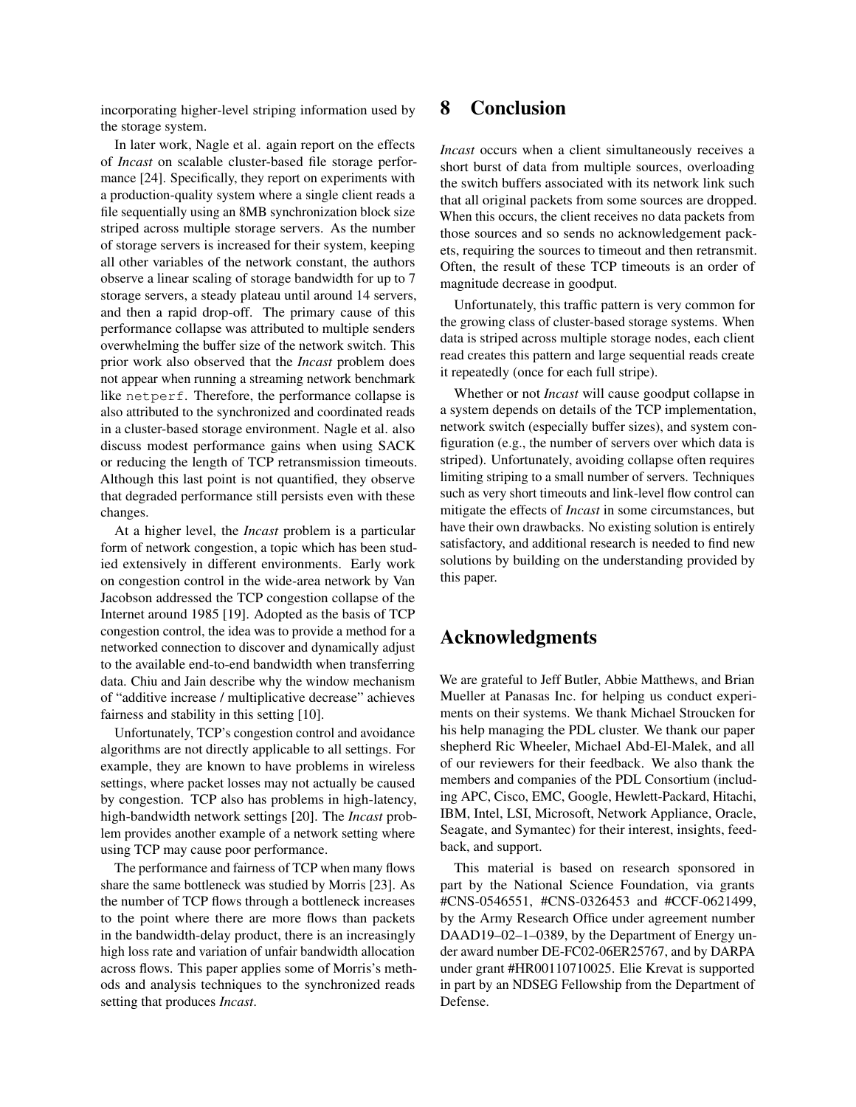incorporating higher-level striping information used by the storage system.

In later work, Nagle et al. again report on the effects of *Incast* on scalable cluster-based file storage performance [\[24\]](#page-11-2). Specifically, they report on experiments with a production-quality system where a single client reads a file sequentially using an 8MB synchronization block size striped across multiple storage servers. As the number of storage servers is increased for their system, keeping all other variables of the network constant, the authors observe a linear scaling of storage bandwidth for up to 7 storage servers, a steady plateau until around 14 servers, and then a rapid drop-off. The primary cause of this performance collapse was attributed to multiple senders overwhelming the buffer size of the network switch. This prior work also observed that the *Incast* problem does not appear when running a streaming network benchmark like netperf. Therefore, the performance collapse is also attributed to the synchronized and coordinated reads in a cluster-based storage environment. Nagle et al. also discuss modest performance gains when using SACK or reducing the length of TCP retransmission timeouts. Although this last point is not quantified, they observe that degraded performance still persists even with these changes.

At a higher level, the *Incast* problem is a particular form of network congestion, a topic which has been studied extensively in different environments. Early work on congestion control in the wide-area network by Van Jacobson addressed the TCP congestion collapse of the Internet around 1985 [\[19\]](#page-11-14). Adopted as the basis of TCP congestion control, the idea was to provide a method for a networked connection to discover and dynamically adjust to the available end-to-end bandwidth when transferring data. Chiu and Jain describe why the window mechanism of "additive increase / multiplicative decrease" achieves fairness and stability in this setting [\[10\]](#page-11-21).

Unfortunately, TCP's congestion control and avoidance algorithms are not directly applicable to all settings. For example, they are known to have problems in wireless settings, where packet losses may not actually be caused by congestion. TCP also has problems in high-latency, high-bandwidth network settings [\[20\]](#page-11-22). The *Incast* problem provides another example of a network setting where using TCP may cause poor performance.

The performance and fairness of TCP when many flows share the same bottleneck was studied by Morris [\[23\]](#page-11-23). As the number of TCP flows through a bottleneck increases to the point where there are more flows than packets in the bandwidth-delay product, there is an increasingly high loss rate and variation of unfair bandwidth allocation across flows. This paper applies some of Morris's methods and analysis techniques to the synchronized reads setting that produces *Incast*.

# 8 Conclusion

*Incast* occurs when a client simultaneously receives a short burst of data from multiple sources, overloading the switch buffers associated with its network link such that all original packets from some sources are dropped. When this occurs, the client receives no data packets from those sources and so sends no acknowledgement packets, requiring the sources to timeout and then retransmit. Often, the result of these TCP timeouts is an order of magnitude decrease in goodput.

Unfortunately, this traffic pattern is very common for the growing class of cluster-based storage systems. When data is striped across multiple storage nodes, each client read creates this pattern and large sequential reads create it repeatedly (once for each full stripe).

Whether or not *Incast* will cause goodput collapse in a system depends on details of the TCP implementation, network switch (especially buffer sizes), and system configuration (e.g., the number of servers over which data is striped). Unfortunately, avoiding collapse often requires limiting striping to a small number of servers. Techniques such as very short timeouts and link-level flow control can mitigate the effects of *Incast* in some circumstances, but have their own drawbacks. No existing solution is entirely satisfactory, and additional research is needed to find new solutions by building on the understanding provided by this paper.

### Acknowledgments

We are grateful to Jeff Butler, Abbie Matthews, and Brian Mueller at Panasas Inc. for helping us conduct experiments on their systems. We thank Michael Stroucken for his help managing the PDL cluster. We thank our paper shepherd Ric Wheeler, Michael Abd-El-Malek, and all of our reviewers for their feedback. We also thank the members and companies of the PDL Consortium (including APC, Cisco, EMC, Google, Hewlett-Packard, Hitachi, IBM, Intel, LSI, Microsoft, Network Appliance, Oracle, Seagate, and Symantec) for their interest, insights, feedback, and support.

This material is based on research sponsored in part by the National Science Foundation, via grants #CNS-0546551, #CNS-0326453 and #CCF-0621499, by the Army Research Office under agreement number DAAD19–02–1–0389, by the Department of Energy under award number DE-FC02-06ER25767, and by DARPA under grant #HR00110710025. Elie Krevat is supported in part by an NDSEG Fellowship from the Department of Defense.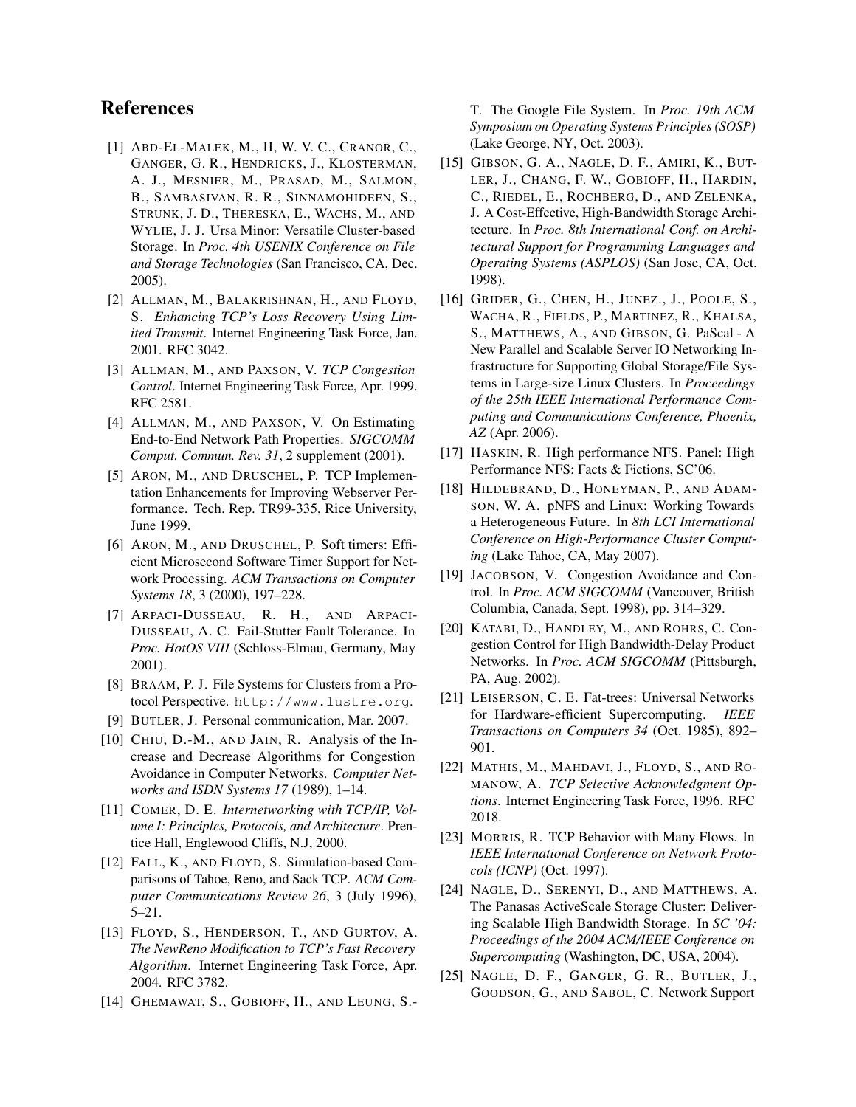# References

- <span id="page-11-0"></span>[1] ABD-EL-MALEK, M., II, W. V. C., CRANOR, C., GANGER, G. R., HENDRICKS, J., KLOSTERMAN, A. J., MESNIER, M., PRASAD, M., SALMON, B., SAMBASIVAN, R. R., SINNAMOHIDEEN, S., STRUNK, J. D., THERESKA, E., WACHS, M., AND WYLIE, J. J. Ursa Minor: Versatile Cluster-based Storage. In *Proc. 4th USENIX Conference on File and Storage Technologies* (San Francisco, CA, Dec. 2005).
- <span id="page-11-9"></span>[2] ALLMAN, M., BALAKRISHNAN, H., AND FLOYD, S. *Enhancing TCP's Loss Recovery Using Limited Transmit*. Internet Engineering Task Force, Jan. 2001. RFC 3042.
- <span id="page-11-6"></span>[3] ALLMAN, M., AND PAXSON, V. *TCP Congestion Control*. Internet Engineering Task Force, Apr. 1999. RFC 2581.
- <span id="page-11-16"></span>[4] ALLMAN, M., AND PAXSON, V. On Estimating End-to-End Network Path Properties. *SIGCOMM Comput. Commun. Rev. 31*, 2 supplement (2001).
- <span id="page-11-17"></span>[5] ARON, M., AND DRUSCHEL, P. TCP Implementation Enhancements for Improving Webserver Performance. Tech. Rep. TR99-335, Rice University, June 1999.
- <span id="page-11-18"></span>[6] ARON, M., AND DRUSCHEL, P. Soft timers: Efficient Microsecond Software Timer Support for Network Processing. *ACM Transactions on Computer Systems 18*, 3 (2000), 197–228.
- <span id="page-11-5"></span>[7] ARPACI-DUSSEAU, R. H., AND ARPACI-DUSSEAU, A. C. Fail-Stutter Fault Tolerance. In *Proc. HotOS VIII* (Schloss-Elmau, Germany, May 2001).
- <span id="page-11-4"></span>[8] BRAAM, P. J. File Systems for Clusters from a Protocol Perspective. <http://www.lustre.org>.
- <span id="page-11-13"></span>[9] BUTLER, J. Personal communication, Mar. 2007.
- <span id="page-11-21"></span>[10] CHIU, D.-M., AND JAIN, R. Analysis of the Increase and Decrease Algorithms for Congestion Avoidance in Computer Networks. *Computer Networks and ISDN Systems 17* (1989), 1–14.
- <span id="page-11-24"></span>[11] COMER, D. E. *Internetworking with TCP/IP, Volume I: Principles, Protocols, and Architecture*. Prentice Hall, Englewood Cliffs, N.J, 2000.
- <span id="page-11-15"></span>[12] FALL, K., AND FLOYD, S. Simulation-based Comparisons of Tahoe, Reno, and Sack TCP. *ACM Computer Communications Review 26*, 3 (July 1996), 5–21.
- <span id="page-11-7"></span>[13] FLOYD, S., HENDERSON, T., AND GURTOV, A. *The NewReno Modification to TCP's Fast Recovery Algorithm*. Internet Engineering Task Force, Apr. 2004. RFC 3782.
- <span id="page-11-3"></span>[14] GHEMAWAT, S., GOBIOFF, H., AND LEUNG, S.-

T. The Google File System. In *Proc. 19th ACM Symposium on Operating Systems Principles (SOSP)* (Lake George, NY, Oct. 2003).

- <span id="page-11-1"></span>[15] GIBSON, G. A., NAGLE, D. F., AMIRI, K., BUT-LER, J., CHANG, F. W., GOBIOFF, H., HARDIN, C., RIEDEL, E., ROCHBERG, D., AND ZELENKA, J. A Cost-Effective, High-Bandwidth Storage Architecture. In *Proc. 8th International Conf. on Architectural Support for Programming Languages and Operating Systems (ASPLOS)* (San Jose, CA, Oct. 1998).
- <span id="page-11-11"></span>[16] GRIDER, G., CHEN, H., JUNEZ., J., POOLE, S., WACHA, R., FIELDS, P., MARTINEZ, R., KHALSA, S., MATTHEWS, A., AND GIBSON, G. PaScal - A New Parallel and Scalable Server IO Networking Infrastructure for Supporting Global Storage/File Systems in Large-size Linux Clusters. In *Proceedings of the 25th IEEE International Performance Computing and Communications Conference, Phoenix, AZ* (Apr. 2006).
- <span id="page-11-19"></span>[17] HASKIN, R. High performance NFS. Panel: High Performance NFS: Facts & Fictions, SC'06.
- <span id="page-11-10"></span>[18] HILDEBRAND, D., HONEYMAN, P., AND ADAM-SON, W. A. pNFS and Linux: Working Towards a Heterogeneous Future. In *8th LCI International Conference on High-Performance Cluster Computing* (Lake Tahoe, CA, May 2007).
- <span id="page-11-14"></span>[19] JACOBSON, V. Congestion Avoidance and Control. In *Proc. ACM SIGCOMM* (Vancouver, British Columbia, Canada, Sept. 1998), pp. 314–329.
- <span id="page-11-22"></span>[20] KATABI, D., HANDLEY, M., AND ROHRS, C. Congestion Control for High Bandwidth-Delay Product Networks. In *Proc. ACM SIGCOMM* (Pittsburgh, PA, Aug. 2002).
- <span id="page-11-12"></span>[21] LEISERSON, C. E. Fat-trees: Universal Networks for Hardware-efficient Supercomputing. *IEEE Transactions on Computers 34* (Oct. 1985), 892– 901.
- <span id="page-11-8"></span>[22] MATHIS, M., MAHDAVI, J., FLOYD, S., AND RO-MANOW, A. *TCP Selective Acknowledgment Options*. Internet Engineering Task Force, 1996. RFC 2018.
- <span id="page-11-23"></span>[23] MORRIS, R. TCP Behavior with Many Flows. In *IEEE International Conference on Network Protocols (ICNP)* (Oct. 1997).
- <span id="page-11-2"></span>[24] NAGLE, D., SERENYI, D., AND MATTHEWS, A. The Panasas ActiveScale Storage Cluster: Delivering Scalable High Bandwidth Storage. In *SC '04: Proceedings of the 2004 ACM/IEEE Conference on Supercomputing* (Washington, DC, USA, 2004).
- <span id="page-11-20"></span>[25] NAGLE, D. F., GANGER, G. R., BUTLER, J., GOODSON, G., AND SABOL, C. Network Support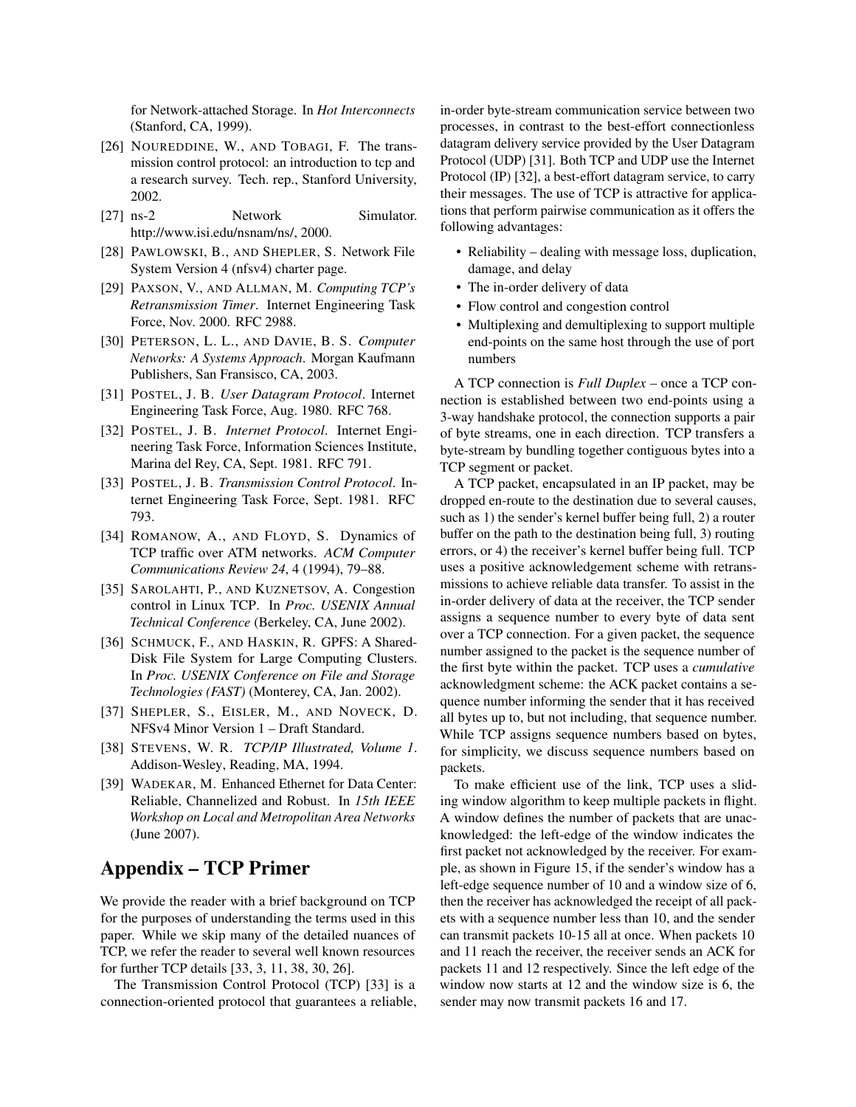for Network-attached Storage. In *Hot Interconnects* (Stanford, CA, 1999).

- <span id="page-12-11"></span>[26] NOUREDDINE, W., AND TOBAGI, F. The transmission control protocol: an introduction to tcp and a research survey. Tech. rep., Stanford University, 2002.
- <span id="page-12-3"></span>[27] ns-2 Network Simulator. http://www.isi.edu/nsnam/ns/, 2000.
- <span id="page-12-2"></span>[28] PAWLOWSKI, B., AND SHEPLER, S. Network File System Version 4 (nfsv4) charter page.
- <span id="page-12-4"></span>[29] PAXSON, V., AND ALLMAN, M. *Computing TCP's Retransmission Timer*. Internet Engineering Task Force, Nov. 2000. RFC 2988.
- <span id="page-12-10"></span>[30] PETERSON, L. L., AND DAVIE, B. S. *Computer Networks: A Systems Approach*. Morgan Kaufmann Publishers, San Fransisco, CA, 2003.
- <span id="page-12-12"></span>[31] POSTEL, J. B. *User Datagram Protocol*. Internet Engineering Task Force, Aug. 1980. RFC 768.
- <span id="page-12-13"></span>[32] POSTEL, J. B. *Internet Protocol*. Internet Engineering Task Force, Information Sciences Institute, Marina del Rey, CA, Sept. 1981. RFC 791.
- <span id="page-12-8"></span>[33] POSTEL, J. B. *Transmission Control Protocol*. Internet Engineering Task Force, Sept. 1981. RFC 793.
- <span id="page-12-6"></span>[34] ROMANOW, A., AND FLOYD, S. Dynamics of TCP traffic over ATM networks. *ACM Computer Communications Review 24*, 4 (1994), 79–88.
- <span id="page-12-5"></span>[35] SAROLAHTI, P., AND KUZNETSOV, A. Congestion control in Linux TCP. In *Proc. USENIX Annual Technical Conference* (Berkeley, CA, June 2002).
- <span id="page-12-0"></span>[36] SCHMUCK, F., AND HASKIN, R. GPFS: A Shared-Disk File System for Large Computing Clusters. In *Proc. USENIX Conference on File and Storage Technologies (FAST)* (Monterey, CA, Jan. 2002).
- <span id="page-12-1"></span>[37] SHEPLER, S., EISLER, M., AND NOVECK, D. NFSv4 Minor Version 1 – Draft Standard.
- <span id="page-12-9"></span>[38] STEVENS, W. R. *TCP/IP Illustrated, Volume 1*. Addison-Wesley, Reading, MA, 1994.
- <span id="page-12-7"></span>[39] WADEKAR, M. Enhanced Ethernet for Data Center: Reliable, Channelized and Robust. In *15th IEEE Workshop on Local and Metropolitan Area Networks* (June 2007).

# Appendix – TCP Primer

We provide the reader with a brief background on TCP for the purposes of understanding the terms used in this paper. While we skip many of the detailed nuances of TCP, we refer the reader to several well known resources for further TCP details [\[33,](#page-12-8) [3,](#page-11-6) [11,](#page-11-24) [38,](#page-12-9) [30,](#page-12-10) [26\]](#page-12-11).

The Transmission Control Protocol (TCP) [\[33\]](#page-12-8) is a connection-oriented protocol that guarantees a reliable, in-order byte-stream communication service between two processes, in contrast to the best-effort connectionless datagram delivery service provided by the User Datagram Protocol (UDP) [\[31\]](#page-12-12). Both TCP and UDP use the Internet Protocol (IP) [\[32\]](#page-12-13), a best-effort datagram service, to carry their messages. The use of TCP is attractive for applications that perform pairwise communication as it offers the following advantages:

- Reliability dealing with message loss, duplication, damage, and delay
- The in-order delivery of data
- Flow control and congestion control
- Multiplexing and demultiplexing to support multiple end-points on the same host through the use of port numbers

A TCP connection is *Full Duplex* – once a TCP connection is established between two end-points using a 3-way handshake protocol, the connection supports a pair of byte streams, one in each direction. TCP transfers a byte-stream by bundling together contiguous bytes into a TCP segment or packet.

A TCP packet, encapsulated in an IP packet, may be dropped en-route to the destination due to several causes, such as 1) the sender's kernel buffer being full, 2) a router buffer on the path to the destination being full, 3) routing errors, or 4) the receiver's kernel buffer being full. TCP uses a positive acknowledgement scheme with retransmissions to achieve reliable data transfer. To assist in the in-order delivery of data at the receiver, the TCP sender assigns a sequence number to every byte of data sent over a TCP connection. For a given packet, the sequence number assigned to the packet is the sequence number of the first byte within the packet. TCP uses a *cumulative* acknowledgment scheme: the ACK packet contains a sequence number informing the sender that it has received all bytes up to, but not including, that sequence number. While TCP assigns sequence numbers based on bytes, for simplicity, we discuss sequence numbers based on packets.

To make efficient use of the link, TCP uses a sliding window algorithm to keep multiple packets in flight. A window defines the number of packets that are unacknowledged: the left-edge of the window indicates the first packet not acknowledged by the receiver. For example, as shown in Figure [15,](#page-13-0) if the sender's window has a left-edge sequence number of 10 and a window size of 6, then the receiver has acknowledged the receipt of all packets with a sequence number less than 10, and the sender can transmit packets 10-15 all at once. When packets 10 and 11 reach the receiver, the receiver sends an ACK for packets 11 and 12 respectively. Since the left edge of the window now starts at 12 and the window size is 6, the sender may now transmit packets 16 and 17.